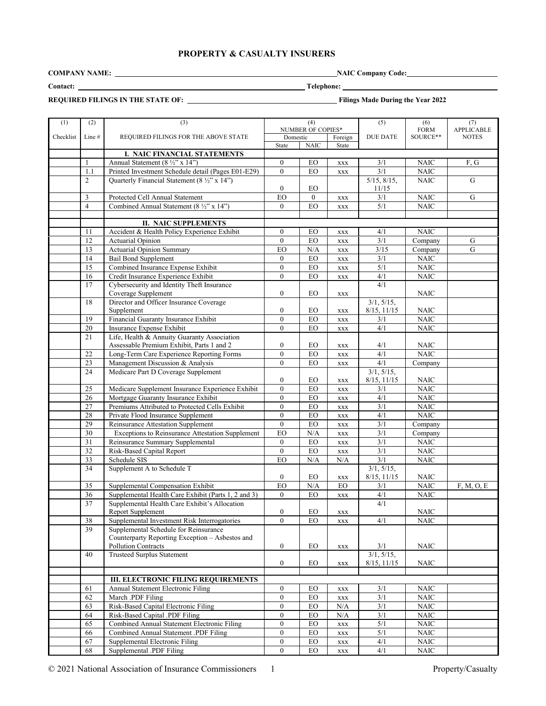# **PROPERTY & CASUALTY INSURERS**

**COMPANY NAME:** NAIC Company Code:

**Contact: Telephone:** 

**REQUIRED FILINGS IN THE STATE OF:****Filings Made During the Year 2022**

| (1)       | (2)             | (3)                                                                |                  | (4)               |                              | (5)                |                                | (7)               |
|-----------|-----------------|--------------------------------------------------------------------|------------------|-------------------|------------------------------|--------------------|--------------------------------|-------------------|
|           |                 |                                                                    |                  | NUMBER OF COPIES* |                              |                    | (6)<br><b>FORM</b>             | <b>APPLICABLE</b> |
| Checklist | Line #          | REQUIRED FILINGS FOR THE ABOVE STATE                               | Domestic         |                   | Foreign                      | <b>DUE DATE</b>    | SOURCE**                       | <b>NOTES</b>      |
|           |                 |                                                                    | State            | <b>NAIC</b>       | State                        |                    |                                |                   |
|           |                 | I. NAIC FINANCIAL STATEMENTS                                       |                  |                   |                              |                    |                                |                   |
|           | 1               | Annual Statement (8 1/2" x 14")                                    | $\overline{0}$   | EO                | <b>XXX</b>                   | 3/1                | <b>NAIC</b>                    | F, G              |
|           | 1.1             | Printed Investment Schedule detail (Pages E01-E29)                 | $\mathbf{0}$     | EO                | <b>XXX</b>                   | 3/1                | <b>NAIC</b>                    |                   |
|           | $\overline{c}$  | Quarterly Financial Statement (8 1/2" x 14")                       |                  |                   |                              | 5/15, 8/15,        | <b>NAIC</b>                    | G                 |
|           |                 |                                                                    | $\mathbf{0}$     | EO                |                              | 11/15              |                                |                   |
|           | 3               | Protected Cell Annual Statement                                    | EO               | $\overline{0}$    | <b>XXX</b>                   | 3/1                | <b>NAIC</b>                    | G                 |
|           | $\overline{4}$  | Combined Annual Statement (8 1/2" x 14")                           | $\overline{0}$   | EO                | <b>XXX</b>                   | 5/1                | <b>NAIC</b>                    |                   |
|           |                 |                                                                    |                  |                   |                              |                    |                                |                   |
|           |                 | <b>II. NAIC SUPPLEMENTS</b>                                        |                  |                   |                              |                    |                                |                   |
|           | 11              | Accident & Health Policy Experience Exhibit                        | $\mathbf{0}$     | EO                | XXX                          | 4/1                | NAIC                           |                   |
|           | $\overline{12}$ | Actuarial Opinion                                                  | $\mathbf{0}$     | EO                | <b>XXX</b>                   | 3/1                | Company                        | ${\bf G}$         |
|           | 13              | <b>Actuarial Opinion Summary</b>                                   | EO               | $\rm N/A$         | <b>XXX</b>                   | $3/15$             | $\overline{\mathrm{Comp}}$ any | G                 |
|           | 14              | <b>Bail Bond Supplement</b>                                        | $\mathbf{0}$     | EO                | <b>XXX</b>                   | 3/1                | <b>NAIC</b>                    |                   |
|           | 15              | Combined Insurance Expense Exhibit                                 | $\boldsymbol{0}$ | EO                | <b>XXX</b>                   | 5/1                | $\rm NAIC$                     |                   |
|           | 16              | Credit Insurance Experience Exhibit                                | $\mathbf{0}$     | EO                | <b>XXX</b>                   | 4/1                | <b>NAIC</b>                    |                   |
|           | 17              | Cybersecurity and Identity Theft Insurance                         |                  |                   |                              | 4/1                |                                |                   |
|           |                 | Coverage Supplement                                                | $\mathbf{0}$     | EO                | XXX                          |                    | NAIC                           |                   |
|           | 18              | Director and Officer Insurance Coverage                            |                  |                   |                              | 3/1, 5/15,         |                                |                   |
|           |                 | Supplement                                                         | $\boldsymbol{0}$ | EO                | <b>XXX</b>                   | 8/15, 11/15        | NAIC                           |                   |
|           | 19              | Financial Guaranty Insurance Exhibit                               | $\overline{0}$   | EO                | $\mathbf{XXX}$               | 3/1                | <b>NAIC</b>                    |                   |
|           | 20              | Insurance Expense Exhibit                                          | $\mathbf{0}$     | EO                | <b>XXX</b>                   | 4/1                | <b>NAIC</b>                    |                   |
|           | 21              | Life, Health & Annuity Guaranty Association                        |                  |                   |                              |                    |                                |                   |
|           |                 | Assessable Premium Exhibit, Parts 1 and 2                          | $\boldsymbol{0}$ | EO                | <b>XXX</b>                   | 4/1                | <b>NAIC</b>                    |                   |
|           | 22              | Long-Term Care Experience Reporting Forms                          | $\mathbf{0}$     | EO                | $\mathbf{XXX}$               | 4/1                | <b>NAIC</b>                    |                   |
|           | 23              | Management Discussion & Analysis                                   | $\boldsymbol{0}$ | EO                | <b>XXX</b>                   | 4/1                | Company                        |                   |
|           | 24              | Medicare Part D Coverage Supplement                                |                  |                   |                              | 3/1, 5/15,         |                                |                   |
|           |                 |                                                                    | $\bf{0}$         | EO                | <b>XXX</b>                   | 8/15, 11/15        | <b>NAIC</b>                    |                   |
|           | 25              | Medicare Supplement Insurance Experience Exhibit                   | $\mathbf{0}$     | EO                | $\mathbf{XXX}$               | 3/1                | <b>NAIC</b>                    |                   |
|           | 26              | Mortgage Guaranty Insurance Exhibit                                | $\mathbf{0}$     | EO                | <b>XXX</b>                   | 4/1                | <b>NAIC</b>                    |                   |
|           | 27              | Premiums Attributed to Protected Cells Exhibit                     | $\mathbf{0}$     | EO                | <b>XXX</b>                   | 3/1                | $\rm NAIC$                     |                   |
|           | $28\,$          | Private Flood Insurance Supplement                                 | $\overline{0}$   | EO                | $\mathbf{XXX}$               | 4/1                | <b>NAIC</b>                    |                   |
|           | 29              | Reinsurance Attestation Supplement                                 | $\overline{0}$   | ${\rm EO}$        |                              | 3/1                | Company                        |                   |
|           | 30              | Exceptions to Reinsurance Attestation Supplement                   | EO               | N/A               | $\mathbf{XXX}$<br><b>XXX</b> | 3/1                | Company                        |                   |
|           | 31              | Reinsurance Summary Supplemental                                   | $\mathbf{0}$     | EO                |                              | 3/1                | <b>NAIC</b>                    |                   |
|           | $\overline{32}$ | Risk-Based Capital Report                                          | $\overline{0}$   | ${\rm EO}$        | $\mathbf{XXX}$               | 3/1                | <b>NAIC</b>                    |                   |
|           | $\overline{33}$ | Schedule SIS                                                       | EO               |                   | <b>XXX</b>                   | 3/1                | <b>NAIC</b>                    |                   |
|           |                 |                                                                    |                  | N/A               | N/A                          |                    |                                |                   |
|           | 34              | Supplement A to Schedule T                                         | $\boldsymbol{0}$ | EO                |                              | 3/1, 5/15,         | <b>NAIC</b>                    |                   |
|           | 35              | Supplemental Compensation Exhibit                                  | EO               | $\rm N/A$         | <b>XXX</b><br>${\rm EO}$     | 8/15, 11/15<br>3/1 | <b>NAIC</b>                    |                   |
|           | 36              | Supplemental Health Care Exhibit (Parts 1, 2 and 3)                | $\theta$         | EO                |                              | 4/1                | <b>NAIC</b>                    | F, M, O, E        |
|           | 37              |                                                                    |                  |                   | <b>XXX</b>                   |                    |                                |                   |
|           |                 | Supplemental Health Care Exhibit's Allocation<br>Report Supplement | $\overline{0}$   | EO                |                              | 4/1                | <b>NAIC</b>                    |                   |
|           | 38              | Supplemental Investment Risk Interrogatories                       | $\overline{0}$   | EO                | $\mathbf{XXX}$<br><b>XXX</b> | 4/1                | <b>NAIC</b>                    |                   |
|           | 39              | Supplemental Schedule for Reinsurance                              |                  |                   |                              |                    |                                |                   |
|           |                 | Counterparty Reporting Exception - Asbestos and                    |                  |                   |                              |                    |                                |                   |
|           |                 | <b>Pollution Contracts</b>                                         | $\boldsymbol{0}$ | EO                | $\mathbf{XXX}$               | 3/1                | <b>NAIC</b>                    |                   |
|           | 40              | <b>Trusteed Surplus Statement</b>                                  |                  |                   |                              | 3/1, 5/15,         |                                |                   |
|           |                 |                                                                    | $\mathbf{0}$     | EO                | <b>XXX</b>                   | 8/15, 11/15        | <b>NAIC</b>                    |                   |
|           |                 |                                                                    |                  |                   |                              |                    |                                |                   |
|           |                 | <b>III. ELECTRONIC FILING REQUIREMENTS</b>                         |                  |                   |                              |                    |                                |                   |
|           | 61              | Annual Statement Electronic Filing                                 | $\mathbf{0}$     | EO                | XXX                          | 3/1                | <b>NAIC</b>                    |                   |
|           | 62              | March .PDF Filing                                                  | $\overline{0}$   | EO                | $\mathbf{XXX}$               | 3/1                | <b>NAIC</b>                    |                   |
|           | 63              | Risk-Based Capital Electronic Filing                               | $\boldsymbol{0}$ | ${\rm EO}$        | N/A                          | 3/1                | <b>NAIC</b>                    |                   |
|           | 64              | Risk-Based Capital .PDF Filing                                     | $\boldsymbol{0}$ | ${\rm EO}$        | $\rm N/A$                    | 3/1                | <b>NAIC</b>                    |                   |
|           | 65              | Combined Annual Statement Electronic Filing                        | $\overline{0}$   | EO                | $\mathbf{XXX}$               | 5/1                | <b>NAIC</b>                    |                   |
|           | 66              | Combined Annual Statement .PDF Filing                              | $\overline{0}$   | ${\rm EO}$        | XXX                          | 5/1                | <b>NAIC</b>                    |                   |
|           | 67              | <b>Supplemental Electronic Filing</b>                              | $\mathbf{0}$     | EO                |                              | 4/1                | <b>NAIC</b>                    |                   |
|           | 68              | Supplemental .PDF Filing                                           | $\mathbf{0}$     | EO                | XXX                          | 4/1                |                                |                   |
|           |                 |                                                                    |                  |                   | XXX                          |                    | NAIC                           |                   |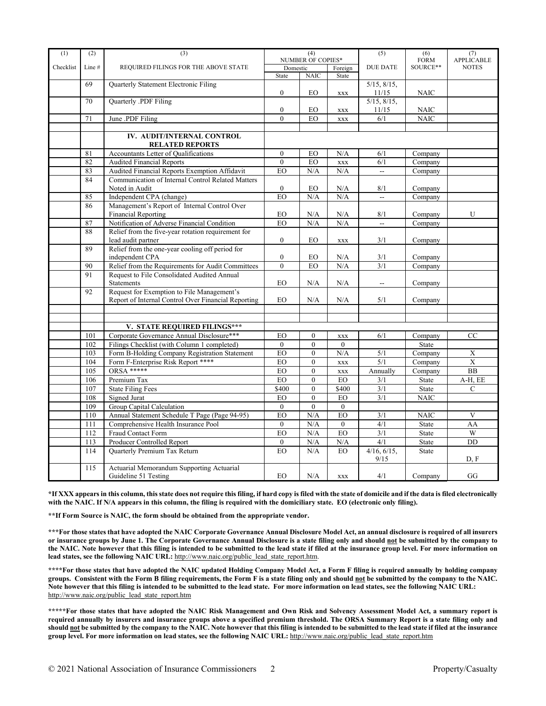| (1)       | (2)    | (3)                                                 |                          | (4)              |                | (5)                 | (6)               | (7)            |
|-----------|--------|-----------------------------------------------------|--------------------------|------------------|----------------|---------------------|-------------------|----------------|
|           |        |                                                     | <b>NUMBER OF COPIES*</b> |                  |                | <b>FORM</b>         | <b>APPLICABLE</b> |                |
| Checklist | Line # | REQUIRED FILINGS FOR THE ABOVE STATE                | Domestic                 |                  | Foreign        | <b>DUE DATE</b>     | SOURCE**          | <b>NOTES</b>   |
|           |        |                                                     | State                    | <b>NAIC</b>      | State          |                     |                   |                |
|           | 69     | Quarterly Statement Electronic Filing               |                          |                  |                | $5/15$ , $8/15$ ,   |                   |                |
|           |        |                                                     | $\overline{0}$           | EO               | <b>XXX</b>     | 11/15               | <b>NAIC</b>       |                |
|           | 70     | Quarterly .PDF Filing                               |                          |                  |                | 5/15, 8/15,         |                   |                |
|           |        |                                                     | $\boldsymbol{0}$         | EO               | <b>XXX</b>     | 11/15               | <b>NAIC</b>       |                |
|           | 71     | June .PDF Filing                                    | $\overline{0}$           | EO               | <b>XXX</b>     | 6/1                 | <b>NAIC</b>       |                |
|           |        |                                                     |                          |                  |                |                     |                   |                |
|           |        | IV. AUDIT/INTERNAL CONTROL                          |                          |                  |                |                     |                   |                |
|           |        | <b>RELATED REPORTS</b>                              |                          |                  |                |                     |                   |                |
|           | 81     | Accountants Letter of Qualifications                | $\mathbf{0}$             | EO               | N/A            | 6/1                 | Company           |                |
|           | 82     | <b>Audited Financial Reports</b>                    | $\theta$                 | EO               | <b>XXX</b>     | 6/1                 | Company           |                |
|           | 83     | Audited Financial Reports Exemption Affidavit       | EO                       | N/A              | N/A            | ц.                  | Company           |                |
|           | 84     | Communication of Internal Control Related Matters   |                          |                  |                |                     |                   |                |
|           |        | Noted in Audit                                      | $\boldsymbol{0}$         | EO               | N/A            | 8/1                 | Company           |                |
|           | 85     | Independent CPA (change)                            | EO                       | N/A              | N/A            | $\overline{a}$      | Company           |                |
|           | 86     | Management's Report of Internal Control Over        |                          |                  |                |                     |                   |                |
|           |        | <b>Financial Reporting</b>                          | EO                       | N/A              | N/A            | 8/1                 | Company           | U              |
|           | 87     | Notification of Adverse Financial Condition         | EO                       | N/A              | N/A            | $\overline{a}$      | Company           |                |
|           | 88     | Relief from the five-year rotation requirement for  |                          |                  |                |                     |                   |                |
|           |        | lead audit partner                                  | $\boldsymbol{0}$         | EO               | <b>XXX</b>     | 3/1                 | Company           |                |
|           | 89     | Relief from the one-year cooling off period for     |                          |                  |                |                     |                   |                |
|           |        | independent CPA                                     | $\boldsymbol{0}$         | EO               | N/A            | 3/1                 | Company           |                |
|           | 90     | Relief from the Requirements for Audit Committees   | $\overline{0}$           | EO               | N/A            | 3/1                 | Company           |                |
|           | 91     | Request to File Consolidated Audited Annual         |                          |                  |                |                     |                   |                |
|           |        | Statements                                          | EO                       | N/A              | N/A            | $\sim$              | Company           |                |
|           | 92     | Request for Exemption to File Management's          |                          |                  |                |                     |                   |                |
|           |        | Report of Internal Control Over Financial Reporting | EO                       | N/A              | N/A            | 5/1                 | Company           |                |
|           |        |                                                     |                          |                  |                |                     |                   |                |
|           |        |                                                     |                          |                  |                |                     |                   |                |
|           |        | V. STATE REQUIRED FILINGS***                        |                          |                  |                |                     |                   |                |
|           | 101    | Corporate Governance Annual Disclosure***           | EO                       | $\boldsymbol{0}$ | <b>XXX</b>     | 6/1                 | Company           | CC             |
|           | 102    | Filings Checklist (with Column 1 completed)         | $\mathbf{0}$             | $\boldsymbol{0}$ | $\mathbf{0}$   |                     | State             |                |
|           | 103    | Form B-Holding Company Registration Statement       | EO                       | $\boldsymbol{0}$ | N/A            | 5/1                 | Company           | $\mathbf X$    |
|           | 104    | Form F-Enterprise Risk Report ****                  | EO                       | $\overline{0}$   | <b>XXX</b>     | 5/1                 | Company           | $\overline{X}$ |
|           | 105    | ORSA *****                                          | EO                       | $\overline{0}$   | <b>XXX</b>     | Annually            | Company           | <b>BB</b>      |
|           | 106    | Premium Tax                                         | EO                       | $\overline{0}$   | EO             | 3/1                 | State             | A-H, EE        |
|           | 107    | <b>State Filing Fees</b>                            | \$400                    | $\overline{0}$   | \$400          | 3/1                 | <b>State</b>      | $\mathsf{C}$   |
|           | 108    | <b>Signed Jurat</b>                                 | EO                       | $\overline{0}$   | EO             | 3/1                 | <b>NAIC</b>       |                |
|           | 109    | Group Capital Calculation                           | $\mathbf{0}$             | $\mathbf{0}$     | $\mathbf{0}$   |                     |                   |                |
|           | 110    | Annual Statement Schedule T Page (Page 94-95)       | EO                       | N/A              | EO             | 3/1                 | <b>NAIC</b>       | V              |
|           | 111    | Comprehensive Health Insurance Pool                 | $\overline{0}$           | N/A              | $\mathbf{0}$   | 4/1                 | State             | AA             |
|           | 112    | Fraud Contact Form                                  | EO                       | N/A              | E <sub>O</sub> | $\overline{3/1}$    | State             | W              |
|           |        | Producer Controlled Report                          |                          |                  |                | 4/1                 |                   | DD             |
|           | 113    |                                                     | $\boldsymbol{0}$         | N/A              | N/A            |                     | State             |                |
|           | 114    | Quarterly Premium Tax Return                        | EO                       | N/A              | EO             | 4/16, 6/15,<br>9/15 | State             | D.F            |
|           | 115    | Actuarial Memorandum Supporting Actuarial           |                          |                  |                |                     |                   |                |
|           |        | Guideline 51 Testing                                | EO                       | N/A              | <b>XXX</b>     | 4/1                 | Company           | GG             |

**\*If XXX appears in this column, this state does not require this filing, if hard copy is filed with the state of domicile and if the data is filed electronically with the NAIC. If N/A appears in this column, the filing is required with the domiciliary state. EO (electronic only filing).**

**\*\*If Form Source is NAIC, the form should be obtained from the appropriate vendor.** 

**\*\*\*For those states that have adopted the NAIC Corporate Governance Annual Disclosure Model Act, an annual disclosure is required of all insurers or insurance groups by June 1. The Corporate Governance Annual Disclosure is a state filing only and should not be submitted by the company to the NAIC. Note however that this filing is intended to be submitted to the lead state if filed at the insurance group level. For more information on**  lead states, see the following NAIC URL: [http://www.naic.org/public\\_lead\\_state\\_report.htm.](http://www.naic.org/public_lead_state_report.htm)

**\*\*\*\*For those states that have adopted the NAIC updated Holding Company Model Act, a Form F filing is required annually by holding company groups. Consistent with the Form B filing requirements, the Form F is a state filing only and should not be submitted by the company to the NAIC. Note however that this filing is intended to be submitted to the lead state. For more information on lead states, see the following NAIC URL:** [http://www.naic.org/public\\_lead\\_state\\_report.htm](http://www.naic.org/public_lead_state_report.htm)

**\*\*\*\*\*For those states that have adopted the NAIC Risk Management and Own Risk and Solvency Assessment Model Act, a summary report is required annually by insurers and insurance groups above a specified premium threshold. The ORSA Summary Report is a state filing only and should not be submitted by the company to the NAIC. Note however that this filing is intended to be submitted to the lead state if filed at the insurance group level. For more information on lead states, see the following NAIC URL:** [http://www.naic.org/public\\_lead\\_state\\_report.htm](http://www.naic.org/public_lead_state_report.htm)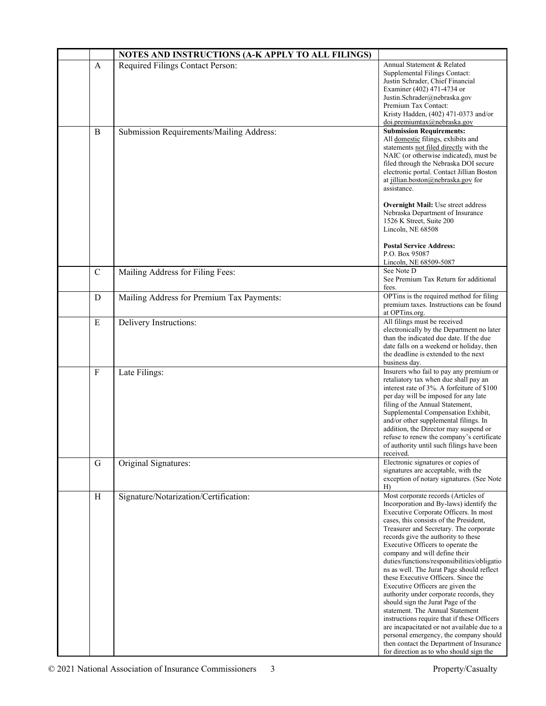|               | NOTES AND INSTRUCTIONS (A-K APPLY TO ALL FILINGS) |                                                                                                                                                                                                                                                                                                                                                                                                                                                                                                                                                                                                                                                                                                                                                                                                                                                   |
|---------------|---------------------------------------------------|---------------------------------------------------------------------------------------------------------------------------------------------------------------------------------------------------------------------------------------------------------------------------------------------------------------------------------------------------------------------------------------------------------------------------------------------------------------------------------------------------------------------------------------------------------------------------------------------------------------------------------------------------------------------------------------------------------------------------------------------------------------------------------------------------------------------------------------------------|
| A             | Required Filings Contact Person:                  | Annual Statement & Related<br>Supplemental Filings Contact:<br>Justin Schrader, Chief Financial<br>Examiner (402) 471-4734 or<br>Justin.Schrader@nebraska.gov<br>Premium Tax Contact:<br>Kristy Hadden, (402) 471-0373 and/or<br>doi.premiumtax@nebraska.gov                                                                                                                                                                                                                                                                                                                                                                                                                                                                                                                                                                                      |
| B             | Submission Requirements/Mailing Address:          | <b>Submission Requirements:</b><br>All domestic filings, exhibits and<br>statements not filed directly with the<br>NAIC (or otherwise indicated), must be<br>filed through the Nebraska DOI secure<br>electronic portal. Contact Jillian Boston<br>at jillian.boston@nebraska.gov for<br>assistance.<br><b>Overnight Mail:</b> Use street address                                                                                                                                                                                                                                                                                                                                                                                                                                                                                                 |
|               |                                                   | Nebraska Department of Insurance<br>1526 K Street, Suite 200<br>Lincoln, NE 68508<br><b>Postal Service Address:</b><br>P.O. Box 95087<br>Lincoln, NE 68509-5087                                                                                                                                                                                                                                                                                                                                                                                                                                                                                                                                                                                                                                                                                   |
| $\mathcal{C}$ | Mailing Address for Filing Fees:                  | See Note D<br>See Premium Tax Return for additional<br>fees.                                                                                                                                                                                                                                                                                                                                                                                                                                                                                                                                                                                                                                                                                                                                                                                      |
| D             | Mailing Address for Premium Tax Payments:         | OPTins is the required method for filing<br>premium taxes. Instructions can be found<br>at OPTins.org.                                                                                                                                                                                                                                                                                                                                                                                                                                                                                                                                                                                                                                                                                                                                            |
| E             | Delivery Instructions:                            | All filings must be received<br>electronically by the Department no later<br>than the indicated due date. If the due<br>date falls on a weekend or holiday, then<br>the deadline is extended to the next<br>business day.                                                                                                                                                                                                                                                                                                                                                                                                                                                                                                                                                                                                                         |
| $\mathbf{F}$  | Late Filings:                                     | Insurers who fail to pay any premium or<br>retaliatory tax when due shall pay an<br>interest rate of 3%. A forfeiture of \$100<br>per day will be imposed for any late<br>filing of the Annual Statement,<br>Supplemental Compensation Exhibit,<br>and/or other supplemental filings. In<br>addition, the Director may suspend or<br>refuse to renew the company's certificate<br>of authority until such filings have been<br>received.                                                                                                                                                                                                                                                                                                                                                                                                          |
| G             | Original Signatures:                              | Electronic signatures or copies of<br>signatures are acceptable, with the<br>exception of notary signatures. (See Note<br>H)                                                                                                                                                                                                                                                                                                                                                                                                                                                                                                                                                                                                                                                                                                                      |
| H             | Signature/Notarization/Certification:             | Most corporate records (Articles of<br>Incorporation and By-laws) identify the<br>Executive Corporate Officers. In most<br>cases, this consists of the President,<br>Treasurer and Secretary. The corporate<br>records give the authority to these<br>Executive Officers to operate the<br>company and will define their<br>duties/functions/responsibilities/obligatio<br>ns as well. The Jurat Page should reflect<br>these Executive Officers. Since the<br>Executive Officers are given the<br>authority under corporate records, they<br>should sign the Jurat Page of the<br>statement. The Annual Statement<br>instructions require that if these Officers<br>are incapacitated or not available due to a<br>personal emergency, the company should<br>then contact the Department of Insurance<br>for direction as to who should sign the |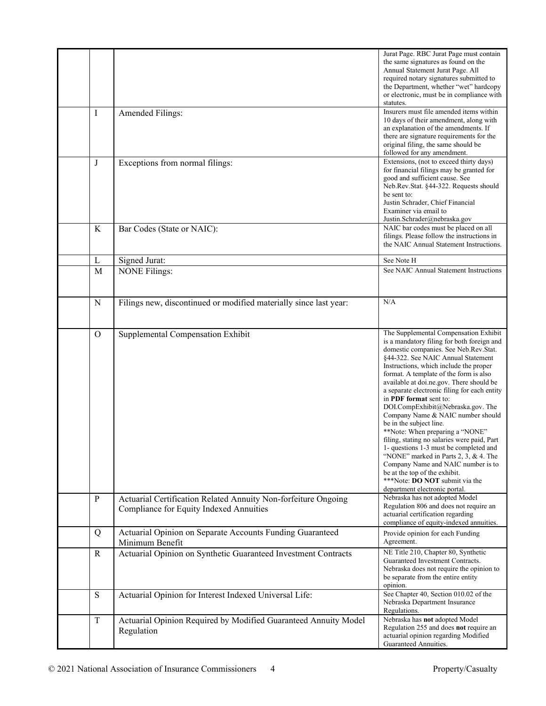| Ι            | Amended Filings:                                                                                          | Jurat Page. RBC Jurat Page must contain<br>the same signatures as found on the<br>Annual Statement Jurat Page. All<br>required notary signatures submitted to<br>the Department, whether "wet" hardcopy<br>or electronic, must be in compliance with<br>statutes.<br>Insurers must file amended items within<br>10 days of their amendment, along with<br>an explanation of the amendments. If                                                                                                                                                                                                                                                                                                                                                                                                   |
|--------------|-----------------------------------------------------------------------------------------------------------|--------------------------------------------------------------------------------------------------------------------------------------------------------------------------------------------------------------------------------------------------------------------------------------------------------------------------------------------------------------------------------------------------------------------------------------------------------------------------------------------------------------------------------------------------------------------------------------------------------------------------------------------------------------------------------------------------------------------------------------------------------------------------------------------------|
|              |                                                                                                           | there are signature requirements for the<br>original filing, the same should be<br>followed for any amendment.                                                                                                                                                                                                                                                                                                                                                                                                                                                                                                                                                                                                                                                                                   |
| $_{\rm J}$   | Exceptions from normal filings:                                                                           | Extensions, (not to exceed thirty days)<br>for financial filings may be granted for<br>good and sufficient cause. See<br>Neb.Rev.Stat. §44-322. Requests should<br>be sent to:<br>Justin Schrader, Chief Financial<br>Examiner via email to<br>Justin.Schrader@nebraska.gov                                                                                                                                                                                                                                                                                                                                                                                                                                                                                                                      |
| K            | Bar Codes (State or NAIC):                                                                                | NAIC bar codes must be placed on all<br>filings. Please follow the instructions in<br>the NAIC Annual Statement Instructions.                                                                                                                                                                                                                                                                                                                                                                                                                                                                                                                                                                                                                                                                    |
| L            | Signed Jurat:                                                                                             | See Note H                                                                                                                                                                                                                                                                                                                                                                                                                                                                                                                                                                                                                                                                                                                                                                                       |
| M            | <b>NONE Filings:</b>                                                                                      | See NAIC Annual Statement Instructions                                                                                                                                                                                                                                                                                                                                                                                                                                                                                                                                                                                                                                                                                                                                                           |
| N            | Filings new, discontinued or modified materially since last year:                                         | N/A                                                                                                                                                                                                                                                                                                                                                                                                                                                                                                                                                                                                                                                                                                                                                                                              |
| $\Omega$     | Supplemental Compensation Exhibit                                                                         | The Supplemental Compensation Exhibit<br>is a mandatory filing for both foreign and<br>domestic companies. See Neb.Rev.Stat.<br>§44-322. See NAIC Annual Statement<br>Instructions, which include the proper<br>format. A template of the form is also<br>available at doi.ne.gov. There should be<br>a separate electronic filing for each entity<br>in PDF format sent to:<br>DOI.CompExhibit@Nebraska.gov. The<br>Company Name & NAIC number should<br>be in the subject line.<br>**Note: When preparing a "NONE"<br>filing, stating no salaries were paid, Part<br>1- questions 1-3 must be completed and<br>"NONE" marked in Parts 2, 3, & 4. The<br>Company Name and NAIC number is to<br>be at the top of the exhibit.<br>***Note: DO NOT submit via the<br>department electronic portal. |
| P            | Actuarial Certification Related Annuity Non-forfeiture Ongoing<br>Compliance for Equity Indexed Annuities | Nebraska has not adopted Model<br>Regulation 806 and does not require an<br>actuarial certification regarding<br>compliance of equity-indexed annuities.                                                                                                                                                                                                                                                                                                                                                                                                                                                                                                                                                                                                                                         |
| Q            | Actuarial Opinion on Separate Accounts Funding Guaranteed<br>Minimum Benefit                              | Provide opinion for each Funding<br>Agreement.                                                                                                                                                                                                                                                                                                                                                                                                                                                                                                                                                                                                                                                                                                                                                   |
| $\mathbb{R}$ | Actuarial Opinion on Synthetic Guaranteed Investment Contracts                                            | NE Title 210, Chapter 80, Synthetic<br>Guaranteed Investment Contracts.<br>Nebraska does not require the opinion to<br>be separate from the entire entity<br>opinion.                                                                                                                                                                                                                                                                                                                                                                                                                                                                                                                                                                                                                            |
| S            | Actuarial Opinion for Interest Indexed Universal Life:                                                    | See Chapter 40, Section 010.02 of the<br>Nebraska Department Insurance<br>Regulations.                                                                                                                                                                                                                                                                                                                                                                                                                                                                                                                                                                                                                                                                                                           |
| T            | Actuarial Opinion Required by Modified Guaranteed Annuity Model<br>Regulation                             | Nebraska has not adopted Model<br>Regulation 255 and does not require an<br>actuarial opinion regarding Modified<br>Guaranteed Annuities.                                                                                                                                                                                                                                                                                                                                                                                                                                                                                                                                                                                                                                                        |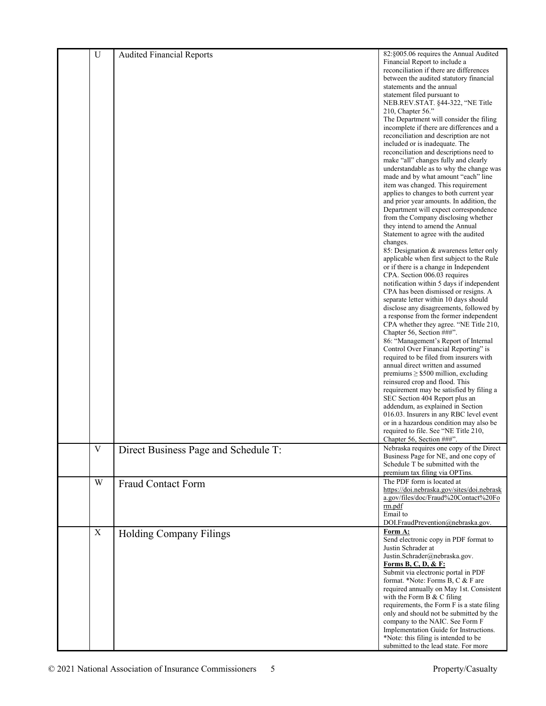| $\mathbf U$ | <b>Audited Financial Reports</b>     | 82:§005.06 requires the Annual Audited                                          |
|-------------|--------------------------------------|---------------------------------------------------------------------------------|
|             |                                      | Financial Report to include a                                                   |
|             |                                      | reconciliation if there are differences                                         |
|             |                                      | between the audited statutory financial                                         |
|             |                                      | statements and the annual<br>statement filed pursuant to                        |
|             |                                      | NEB.REV.STAT. §44-322, "NE Title                                                |
|             |                                      | 210, Chapter 56."                                                               |
|             |                                      | The Department will consider the filing                                         |
|             |                                      | incomplete if there are differences and a                                       |
|             |                                      | reconciliation and description are not                                          |
|             |                                      | included or is inadequate. The                                                  |
|             |                                      | reconciliation and descriptions need to                                         |
|             |                                      | make "all" changes fully and clearly<br>understandable as to why the change was |
|             |                                      | made and by what amount "each" line                                             |
|             |                                      | item was changed. This requirement                                              |
|             |                                      | applies to changes to both current year                                         |
|             |                                      | and prior year amounts. In addition, the                                        |
|             |                                      | Department will expect correspondence                                           |
|             |                                      | from the Company disclosing whether                                             |
|             |                                      | they intend to amend the Annual<br>Statement to agree with the audited          |
|             |                                      | changes.                                                                        |
|             |                                      | 85: Designation & awareness letter only                                         |
|             |                                      | applicable when first subject to the Rule                                       |
|             |                                      | or if there is a change in Independent                                          |
|             |                                      | CPA. Section 006.03 requires<br>notification within 5 days if independent       |
|             |                                      | CPA has been dismissed or resigns. A                                            |
|             |                                      | separate letter within 10 days should                                           |
|             |                                      | disclose any disagreements, followed by                                         |
|             |                                      | a response from the former independent                                          |
|             |                                      | CPA whether they agree. "NE Title 210,                                          |
|             |                                      | Chapter 56, Section ###".                                                       |
|             |                                      | 86: "Management's Report of Internal<br>Control Over Financial Reporting" is    |
|             |                                      | required to be filed from insurers with                                         |
|             |                                      | annual direct written and assumed                                               |
|             |                                      | premiums $\geq$ \$500 million, excluding                                        |
|             |                                      | reinsured crop and flood. This                                                  |
|             |                                      | requirement may be satisfied by filing a                                        |
|             |                                      | SEC Section 404 Report plus an                                                  |
|             |                                      | addendum, as explained in Section<br>016.03. Insurers in any RBC level event    |
|             |                                      | or in a hazardous condition may also be                                         |
|             |                                      | required to file. See "NE Title 210,                                            |
|             |                                      | Chapter 56, Section ###".                                                       |
| $\mathbf V$ | Direct Business Page and Schedule T: | Nebraska requires one copy of the Direct                                        |
|             |                                      | Business Page for NE, and one copy of                                           |
|             |                                      | Schedule T be submitted with the                                                |
|             |                                      | premium tax filing via OPTins.                                                  |
| W           | <b>Fraud Contact Form</b>            | The PDF form is located at<br>https://doi.nebraska.gov/sites/doi.nebrask        |
|             |                                      | a.gov/files/doc/Fraud%20Contact%20Fo                                            |
|             |                                      | rm.pdf                                                                          |
|             |                                      | Email to                                                                        |
|             |                                      | DOI.FraudPrevention@nebraska.gov.                                               |
| X           | <b>Holding Company Filings</b>       | Form A:                                                                         |
|             |                                      | Send electronic copy in PDF format to                                           |
|             |                                      | Justin Schrader at<br>Justin.Schrader@nebraska.gov.                             |
|             |                                      | <b>Forms B, C, D, &amp; F:</b>                                                  |
|             |                                      | Submit via electronic portal in PDF                                             |
|             |                                      | format. *Note: Forms B, C & F are                                               |
|             |                                      | required annually on May 1st. Consistent                                        |
|             |                                      | with the Form B & C filing                                                      |
|             |                                      | requirements, the Form F is a state filing                                      |
|             |                                      | only and should not be submitted by the                                         |
|             |                                      | company to the NAIC. See Form F<br>Implementation Guide for Instructions.       |
|             |                                      | *Note: this filing is intended to be                                            |
|             |                                      | submitted to the lead state. For more                                           |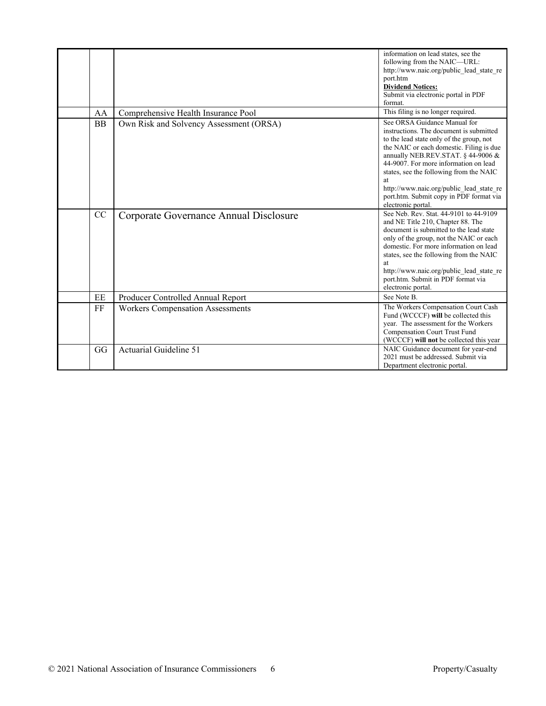|           |                                         | information on lead states, see the<br>following from the NAIC-URL:<br>http://www.naic.org/public lead state re<br>port.htm<br><b>Dividend Notices:</b><br>Submit via electronic portal in PDF<br>format.                                                                                                                                                                                                    |
|-----------|-----------------------------------------|--------------------------------------------------------------------------------------------------------------------------------------------------------------------------------------------------------------------------------------------------------------------------------------------------------------------------------------------------------------------------------------------------------------|
| AA        | Comprehensive Health Insurance Pool     | This filing is no longer required.                                                                                                                                                                                                                                                                                                                                                                           |
| <b>BB</b> | Own Risk and Solvency Assessment (ORSA) | See ORSA Guidance Manual for<br>instructions. The document is submitted<br>to the lead state only of the group, not<br>the NAIC or each domestic. Filing is due<br>annually NEB.REV.STAT. § 44-9006 &<br>44-9007. For more information on lead<br>states, see the following from the NAIC<br>at<br>http://www.naic.org/public lead state re<br>port.htm. Submit copy in PDF format via<br>electronic portal. |
| CC        | Corporate Governance Annual Disclosure  | See Neb. Rev. Stat. 44-9101 to 44-9109<br>and NE Title 210, Chapter 88. The<br>document is submitted to the lead state<br>only of the group, not the NAIC or each<br>domestic. For more information on lead<br>states, see the following from the NAIC<br>at<br>http://www.naic.org/public_lead_state_re<br>port.htm. Submit in PDF format via<br>electronic portal.                                         |
| EE        | Producer Controlled Annual Report       | See Note B.                                                                                                                                                                                                                                                                                                                                                                                                  |
| FF        | <b>Workers Compensation Assessments</b> | The Workers Compensation Court Cash<br>Fund (WCCCF) will be collected this<br>year. The assessment for the Workers<br><b>Compensation Court Trust Fund</b><br>(WCCCF) will not be collected this year                                                                                                                                                                                                        |
| GG        | Actuarial Guideline 51                  | NAIC Guidance document for year-end<br>2021 must be addressed. Submit via<br>Department electronic portal.                                                                                                                                                                                                                                                                                                   |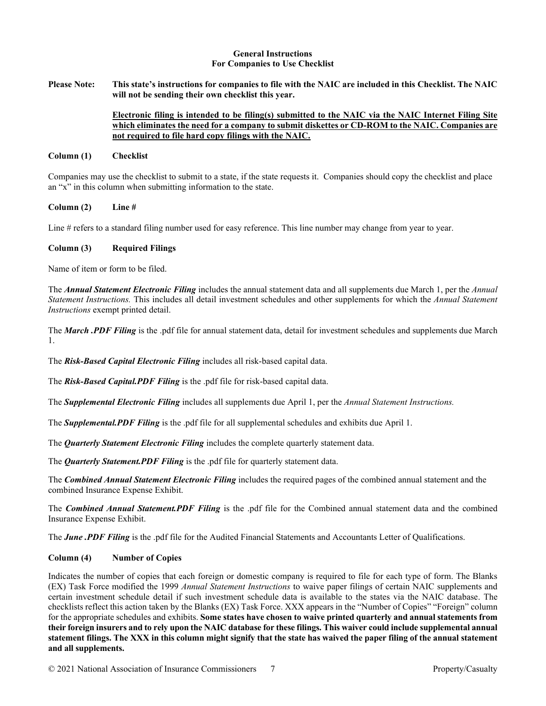### **General Instructions For Companies to Use Checklist**

**Please Note: This state's instructions for companies to file with the NAIC are included in this Checklist. The NAIC will not be sending their own checklist this year.**

# **Electronic filing is intended to be filing(s) submitted to the NAIC via the NAIC Internet Filing Site which eliminates the need for a company to submit diskettes or CD-ROM to the NAIC. Companies are not required to file hard copy filings with the NAIC.**

### **Column (1) Checklist**

Companies may use the checklist to submit to a state, if the state requests it. Companies should copy the checklist and place an "x" in this column when submitting information to the state.

**Column (2) Line #**

Line # refers to a standard filing number used for easy reference. This line number may change from year to year.

### **Column (3) Required Filings**

Name of item or form to be filed.

The *Annual Statement Electronic Filing* includes the annual statement data and all supplements due March 1, per the *Annual Statement Instructions.* This includes all detail investment schedules and other supplements for which the *Annual Statement Instructions* exempt printed detail.

The *March .PDF Filing* is the .pdf file for annual statement data, detail for investment schedules and supplements due March 1.

The *Risk-Based Capital Electronic Filing* includes all risk-based capital data.

The *Risk-Based Capital.PDF Filing* is the .pdf file for risk-based capital data.

The *Supplemental Electronic Filing* includes all supplements due April 1, per the *Annual Statement Instructions.* 

The *Supplemental.PDF Filing* is the .pdf file for all supplemental schedules and exhibits due April 1.

The *Quarterly Statement Electronic Filing* includes the complete quarterly statement data.

The *Quarterly Statement.PDF Filing* is the .pdf file for quarterly statement data.

The *Combined Annual Statement Electronic Filing* includes the required pages of the combined annual statement and the combined Insurance Expense Exhibit.

The *Combined Annual Statement.PDF Filing* is the .pdf file for the Combined annual statement data and the combined Insurance Expense Exhibit.

The *June .PDF Filing* is the .pdf file for the Audited Financial Statements and Accountants Letter of Qualifications.

#### **Column (4) Number of Copies**

Indicates the number of copies that each foreign or domestic company is required to file for each type of form. The Blanks (EX) Task Force modified the 1999 *Annual Statement Instructions* to waive paper filings of certain NAIC supplements and certain investment schedule detail if such investment schedule data is available to the states via the NAIC database. The checklists reflect this action taken by the Blanks (EX) Task Force. XXX appears in the "Number of Copies" "Foreign" column for the appropriate schedules and exhibits. **Some states have chosen to waive printed quarterly and annual statements from their foreign insurers and to rely upon the NAIC database for these filings. This waiver could include supplemental annual statement filings. The XXX in this column might signify that the state has waived the paper filing of the annual statement and all supplements.**